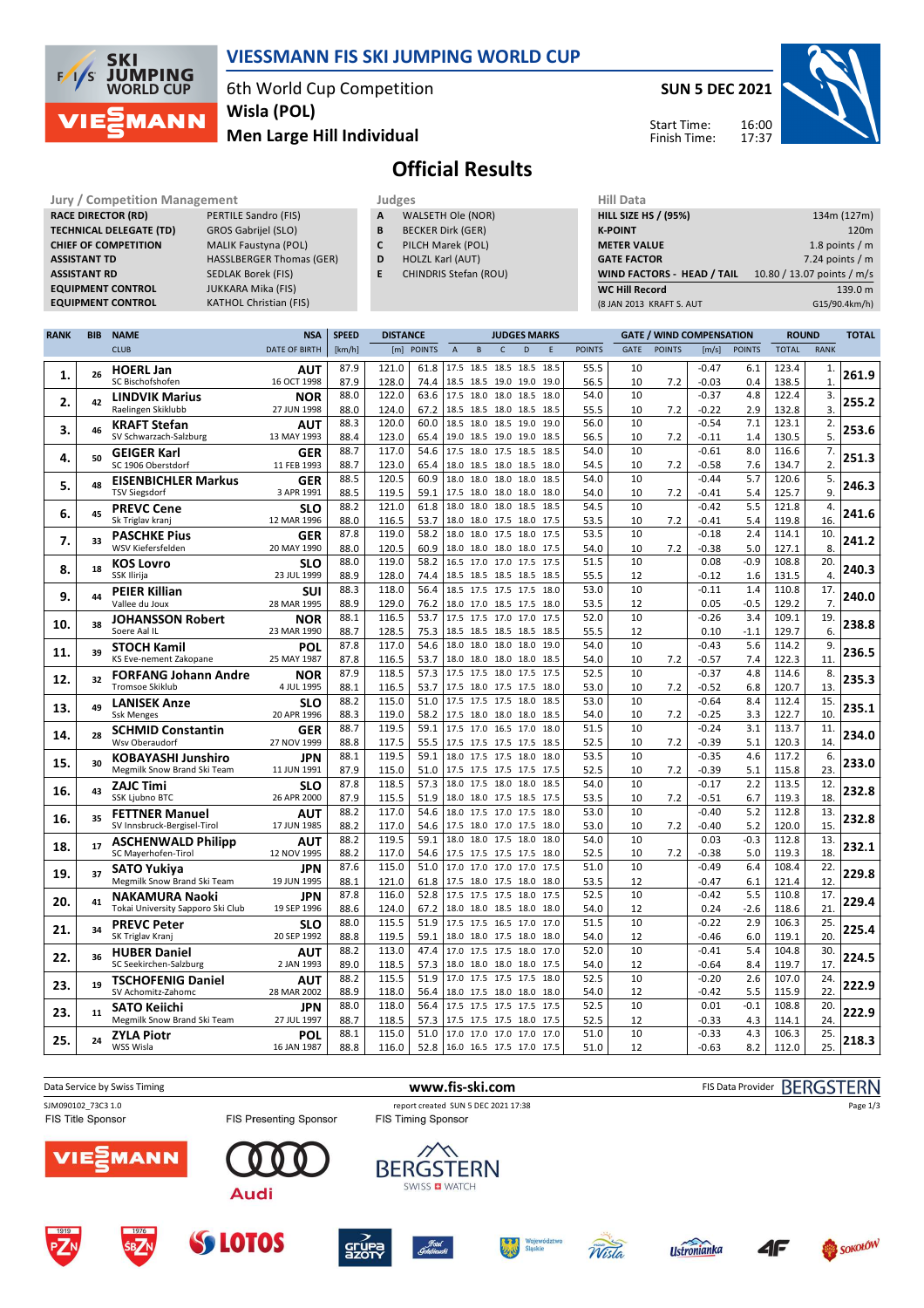

## **VIESSMANN FIS SKI JUMPING WORLD CUP**

6th World Cup Competition **Men Large Hill Individual Wisla (POL)**

**SUN 5 DEC 2021**



Start Time: Finish Time:

# **Official Results**

**Jury / Competition Management Judges Hill Data**<br> **RACE DIRECTOR (RD)** PERTILE Sandro (FIS) **A** WALSETH Ole (NOR) **HILL SIZE H RACE DIRECTOR (RD) TECHNICAL DELEGATE (TD)** GROS Gabrijel (SLO) **CHIEF OF COMPETITION** MALIK Faustyna (POL) **ASSISTANT TD** HASSLBERGER Thomas (GER) **ASSISTANT RD** SEDLAK Borek (FIS) **EQUIPMENT CONTROL** JUKKARA Mika (FIS)

**KATHOL Christian (FIS)** 

- **A** WALSETH Ole (NOR)
- **B** BECKER Dirk (GER)
- **C** PILCH Marek (POL) **D** HOLZL Karl (AUT)
- **E** CHINDRIS Stefan (ROU)
- **HILL SIZE HS / (95%)** 134m (127m) **K-POINT** 120m **METER VALUE** 1.8 points / m **GATE FACTOR** 7.24 points / m **WIND FACTORS - HEAD / TAIL** 10.80 / 13.07 points / m/s **WC Hill Record** 139.0 m (8 JAN 2013 KRAFT S. AUT G15/90.4km/h)

| <b>RANK</b> | <b>BIB</b> | <b>NAME</b>                                              | <b>NSA</b>                | <b>SPEED</b> | <b>DISTANCE</b> |              |                                                 |           | <b>JUDGES MARKS</b> |      |              |               |             |               | <b>GATE / WIND COMPENSATION</b> |               | <b>ROUND</b>   |                | <b>TOTAL</b> |
|-------------|------------|----------------------------------------------------------|---------------------------|--------------|-----------------|--------------|-------------------------------------------------|-----------|---------------------|------|--------------|---------------|-------------|---------------|---------------------------------|---------------|----------------|----------------|--------------|
|             |            | <b>CLUB</b>                                              | <b>DATE OF BIRTH</b>      | [km/h]       |                 | [m] POINTS   | $\overline{A}$                                  | B         | $\mathsf{C}$        | D    | F            | <b>POINTS</b> | <b>GATE</b> | <b>POINTS</b> | [m/s]                           | <b>POINTS</b> | <b>TOTAL</b>   | <b>RANK</b>    |              |
|             |            | <b>HOERL Jan</b>                                         | <b>AUT</b>                | 87.9         | 121.0           | 61.8         | 17.5 18.5 18.5 18.5 18.5                        |           |                     |      |              | 55.5          | 10          |               | $-0.47$                         | 6.1           | 123.4          | $\mathbf{1}$   |              |
| 1.          | 26         | SC Bischofshofen                                         | 16 OCT 1998               | 87.9         | 128.0           | 74.4         | 18.5 18.5 19.0 19.0 19.0                        |           |                     |      |              | 56.5          | 10          | 7.2           | $-0.03$                         | 0.4           | 138.5          | $\mathbf{1}$   | 261.9        |
| 2.          | 42         | <b>LINDVIK Marius</b>                                    | <b>NOR</b>                | 88.0         | 122.0           | 63.6         | 17.5 18.0 18.0                                  |           |                     | 18.5 | 18.0         | 54.0          | 10          |               | $-0.37$                         | 4.8           | 122.4          | 3.             | 255.2        |
|             |            | Raelingen Skiklubb                                       | 27 JUN 1998               | 88.0         | 124.0           | 67.2         | 18.5 18.5 18.0 18.5 18.5                        |           |                     |      |              | 55.5          | 10          | 7.2           | $-0.22$                         | 2.9           | 132.8          | 3.             |              |
| 3.          | 46         | <b>KRAFT Stefan</b>                                      | <b>AUT</b>                | 88.3         | 120.0           | 60.0         | 18.5 18.0 18.5 19.0                             |           |                     |      | 19.0         | 56.0          | 10          |               | $-0.54$                         | 7.1           | 123.1          | 2.             | 253.6        |
|             |            | SV Schwarzach-Salzburg                                   | 13 MAY 1993               | 88.4<br>88.7 | 123.0<br>117.0  | 65.4<br>54.6 | 19.0 18.5 19.0 19.0<br>17.5 18.0 17.5 18.5      |           |                     |      | 18.5<br>18.5 | 56.5<br>54.0  | 10<br>10    | 7.2           | $-0.11$<br>$-0.61$              | 1.4<br>8.0    | 130.5<br>116.6 | 5.<br>7.       |              |
| 4.          | 50         | <b>GEIGER Karl</b><br>SC 1906 Oberstdorf                 | <b>GER</b><br>11 FEB 1993 | 88.7         | 123.0           | 65.4         | 18.0 18.5 18.0 18.5 18.0                        |           |                     |      |              | 54.5          | 10          | 7.2           | $-0.58$                         | 7.6           | 134.7          | 2.             | 251.3        |
|             |            | <b>EISENBICHLER Markus</b>                               | <b>GER</b>                | 88.5         | 120.5           | 60.9         | 18.0                                            | 18.0 18.0 |                     | 18.0 | 18.5         | 54.0          | 10          |               | $-0.44$                         | 5.7           | 120.6          | 5.             |              |
| 5.          | 48         | <b>TSV Siegsdorf</b>                                     | 3 APR 1991                | 88.5         | 119.5           | 59.1         | 17.5 18.0 18.0 18.0 18.0                        |           |                     |      |              | 54.0          | 10          | 7.2           | $-0.41$                         | 5.4           | 125.7          | 9.             | 246.3        |
|             |            | <b>PREVC Cene</b>                                        | SLO                       | 88.2         | 121.0           | 61.8         | 18.0 18.0 18.0 18.5                             |           |                     |      | 18.5         | 54.5          | 10          |               | $-0.42$                         | 5.5           | 121.8          | 4.             |              |
| 6.          | 45         | Sk Triglav kranj                                         | 12 MAR 1996               | 88.0         | 116.5           | 53.7         | 18.0 18.0 17.5 18.0                             |           |                     |      | 17.5         | 53.5          | 10          | 7.2           | $-0.41$                         | 5.4           | 119.8          | 16.            | 241.6        |
| 7.          | 33         | <b>PASCHKE Pius</b>                                      | <b>GER</b>                | 87.8         | 119.0           | 58.2         | 18.0 18.0 17.5 18.0                             |           |                     |      | 17.5         | 53.5          | 10          |               | $-0.18$                         | 2.4           | 114.1          | 10.            | 241.2        |
|             |            | WSV Kiefersfelden                                        | 20 MAY 1990               | 88.0         | 120.5           | 60.9         | 18.0 18.0 18.0 18.0                             |           |                     |      | 17.5         | 54.0          | 10          | 7.2           | $-0.38$                         | 5.0           | 127.1          | 8.             |              |
| 8.          | 18         | <b>KOS Lovro</b>                                         | SLO                       | 88.0         | 119.0           | 58.2         | 16.5 17.0 17.0 17.5                             |           |                     |      | 17.5         | 51.5          | 10          |               | 0.08                            | $-0.9$        | 108.8          | 20.            | 240.3        |
|             |            | SSK Ilirija                                              | 23 JUL 1999               | 88.9         | 128.0           | 74.4         | 18.5 18.5 18.5 18.5 18.5                        |           |                     |      |              | 55.5          | 12          |               | $-0.12$                         | 1.6           | 131.5          | $\overline{4}$ |              |
| 9.          | 44         | <b>PEIER Killian</b>                                     | suı                       | 88.3         | 118.0           | 56.4         | 18.5 17.5 17.5 17.5                             |           |                     |      | 18.0         | 53.0          | 10          |               | $-0.11$                         | 1.4           | 110.8          | 17.            | 240.0        |
|             |            | Vallee du Joux                                           | 28 MAR 1995               | 88.9<br>88.1 | 129.0<br>116.5  | 76.2<br>53.7 | 18.0 17.0 18.5 17.5 18.0<br>17.5 17.5 17.0 17.0 |           |                     |      | 17.5         | 53.5<br>52.0  | 12<br>10    |               | 0.05<br>$-0.26$                 | $-0.5$<br>3.4 | 129.2<br>109.1 | 7.<br>19.      |              |
| 10.         | 38         | <b>JOHANSSON Robert</b><br>Soere Aal IL                  | <b>NOR</b><br>23 MAR 1990 | 88.7         | 128.5           | 75.3         | 18.5 18.5 18.5 18.5                             |           |                     |      | 18.5         | 55.5          | 12          |               | 0.10                            | $-1.1$        | 129.7          | 6.             | 238.8        |
|             |            | <b>STOCH Kamil</b>                                       | POL                       | 87.8         | 117.0           | 54.6         | 18.0 18.0 18.0 18.0                             |           |                     |      | 19.0         | 54.0          | 10          |               | $-0.43$                         | 5.6           | 114.2          | 9.             |              |
| 11.         | 39         | KS Eve-nement Zakopane                                   | 25 MAY 1987               | 87.8         | 116.5           | 53.7         | 18.0 18.0 18.0 18.0 18.5                        |           |                     |      |              | 54.0          | 10          | 7.2           | $-0.57$                         | 7.4           | 122.3          | 11.            | 236.5        |
|             |            | <b>FORFANG Johann Andre</b>                              | <b>NOR</b>                | 87.9         | 118.5           | 57.3         | 17.5 17.5 18.0 17.5                             |           |                     |      | 17.5         | 52.5          | 10          |               | $-0.37$                         | 4.8           | 114.6          | 8.             |              |
| 12.         | 32         | <b>Tromsoe Skiklub</b>                                   | 4 JUL 1995                | 88.1         | 116.5           | 53.7         | 17.5 18.0 17.5 17.5 18.0                        |           |                     |      |              | 53.0          | 10          | 7.2           | $-0.52$                         | 6.8           | 120.7          | 13.            | 235.3        |
| 13.         | 49         | <b>LANISEK Anze</b>                                      | SLO                       | 88.2         | 115.0           | 51.0         | 17.5 17.5 17.5 18.0                             |           |                     |      | 18.5         | 53.0          | 10          |               | $-0.64$                         | 8.4           | 112.4          | 15.            | 235.1        |
|             |            | <b>Ssk Menges</b>                                        | 20 APR 1996               | 88.3         | 119.0           | 58.2         | 17.5 18.0 18.0 18.0                             |           |                     |      | 18.5         | 54.0          | 10          | 7.2           | $-0.25$                         | 3.3           | 122.7          | 10.            |              |
| 14.         | 28         | <b>SCHMID Constantin</b>                                 | <b>GER</b>                | 88.7         | 119.5           | 59.1         | 17.5 17.0 16.5 17.0                             |           |                     |      | 18.0         | 51.5          | 10          |               | $-0.24$                         | 3.1           | 113.7          | 11.            | 234.0        |
|             |            | Wsv Oberaudorf                                           | 27 NOV 1999               | 88.8         | 117.5           | 55.5         | 17.5 17.5 17.5 17.5                             |           |                     |      | 18.5         | 52.5          | 10          | 7.2           | $-0.39$                         | 5.1           | 120.3          | 14.            |              |
| 15.         | 30         | <b>KOBAYASHI Junshiro</b><br>Megmilk Snow Brand Ski Team | JPN<br>11 JUN 1991        | 88.1<br>87.9 | 119.5<br>115.0  | 59.1<br>51.0 | 18.0 17.5 17.5 18.0<br>17.5 17.5 17.5 17.5 17.5 |           |                     |      | 18.0         | 53.5<br>52.5  | 10<br>10    | 7.2           | $-0.35$<br>$-0.39$              | 4.6<br>5.1    | 117.2<br>115.8 | 6.<br>23.      | 233.0        |
|             |            |                                                          | <b>SLO</b>                | 87.8         | 118.5           | 57.3         | 18.0 17.5 18.0                                  |           |                     | 18.0 | 18.5         | 54.0          | 10          |               | $-0.17$                         | 2.2           | 113.5          | 12.            |              |
| 16.         | 43         | <b>ZAJC Timi</b><br><b>SSK Ljubno BTC</b>                | 26 APR 2000               | 87.9         | 115.5           | 51.9         | 18.0 18.0 17.5 18.5                             |           |                     |      | 17.5         | 53.5          | 10          | 7.2           | $-0.51$                         | 6.7           | 119.3          | 18.            | 232.8        |
|             |            | <b>FETTNER Manuel</b>                                    | AUT                       | 88.2         | 117.0           | 54.6         | 18.0 17.5 17.0 17.5                             |           |                     |      | 18.0         | 53.0          | 10          |               | $-0.40$                         | 5.2           | 112.8          | 13.            |              |
| 16.         | 35         | SV Innsbruck-Bergisel-Tirol                              | 17 JUN 1985               | 88.2         | 117.0           | 54.6         | 17.5 18.0 17.0 17.5                             |           |                     |      | 18.0         | 53.0          | 10          | 7.2           | $-0.40$                         | 5.2           | 120.0          | 15.            | 232.8        |
|             |            | <b>ASCHENWALD Philipp</b>                                | AUT                       | 88.2         | 119.5           | 59.1         | 18.0 18.0 17.5 18.0                             |           |                     |      | 18.0         | 54.0          | 10          |               | 0.03                            | $-0.3$        | 112.8          | 13.            | 232.1        |
| 18.         | 17         | SC Mayerhofen-Tirol                                      | 12 NOV 1995               | 88.2         | 117.0           | 54.6         | 17.5 17.5 17.5 17.5 18.0                        |           |                     |      |              | 52.5          | 10          | 7.2           | $-0.38$                         | 5.0           | 119.3          | 18.            |              |
| 19.         | 37         | <b>SATO Yukiya</b>                                       | JPN                       | 87.6         | 115.0           | 51.0         | 17.0 17.0 17.0 17.0                             |           |                     |      | 17.5         | 51.0          | 10          |               | $-0.49$                         | 6.4           | 108.4          | 22.            | 229.8        |
|             |            | Megmilk Snow Brand Ski Team                              | 19 JUN 1995               | 88.1         | 121.0           | 61.8         | 17.5 18.0 17.5 18.0 18.0                        |           |                     |      |              | 53.5          | 12          |               | $-0.47$                         | 6.1           | 121.4          | 12.            |              |
| 20.         | 41         | <b>NAKAMURA Naoki</b>                                    | JPN                       | 87.8         | 116.0           | 52.8         | 17.5 17.5 17.5 18.0                             |           |                     |      | 17.5         | 52.5          | 10          |               | $-0.42$                         | 5.5           | 110.8          | 17.            | 229.4        |
|             |            | Tokai University Sapporo Ski Club                        | 19 SEP 1996               | 88.6<br>88.0 | 124.0<br>115.5  | 67.2<br>51.9 | 18.0 18.0 18.5 18.0<br>17.5 17.5 16.5 17.0      |           |                     |      | 18.0<br>17.0 | 54.0<br>51.5  | 12<br>10    |               | 0.24<br>$-0.22$                 | $-2.6$<br>2.9 | 118.6<br>106.3 | 21.<br>25.     |              |
| 21.         | 34         | <b>PREVC Peter</b><br>SK Triglav Kranj                   | <b>SLO</b><br>20 SEP 1992 | 88.8         | 119.5           | 59.1         | 18.0 18.0 17.5 18.0                             |           |                     |      | 18.0         | 54.0          | 12          |               | $-0.46$                         | 6.0           | 119.1          | 20.            | 225.4        |
|             |            | <b>HUBER Daniel</b>                                      | AUT                       | 88.2         | 113.0           | 47.4         | 17.0 17.5 17.5 18.0                             |           |                     |      | 17.0         | 52.0          | 10          |               | $-0.41$                         | 5.4           | 104.8          | 30.            |              |
| 22.         | 36         | SC Seekirchen-Salzburg                                   | 2 JAN 1993                | 89.0         | 118.5           | 57.3         | 18.0 18.0 18.0 18.0                             |           |                     |      | 17.5         | 54.0          | 12          |               | $-0.64$                         | 8.4           | 119.7          | 17.            | 224.5        |
|             |            | <b>TSCHOFENIG Daniel</b>                                 | <b>AUT</b>                | 88.2         | 115.5           | 51.9         | 17.0 17.5 17.5 17.5                             |           |                     |      | 18.0         | 52.5          | 10          |               | $-0.20$                         | 2.6           | 107.0          | 24.            |              |
| 23.         | 19         | SV Achomitz-Zahomc                                       | 28 MAR 2002               | 88.9         | 118.0           | 56.4         | 18.0 17.5 18.0 18.0                             |           |                     |      | 18.0         | 54.0          | 12          |               | $-0.42$                         | 5.5           | 115.9          | 22             | 222.9        |
| 23.         | 11         | <b>SATO Keiichi</b>                                      | JPN                       | 88.0         | 118.0           | 56.4         | 17.5 17.5 17.5 17.5                             |           |                     |      | 17.5         | 52.5          | 10          |               | 0.01                            | $-0.1$        | 108.8          | 20.            | 222.9        |
|             |            | Megmilk Snow Brand Ski Team                              | 27 JUL 1997               | 88.7         | 118.5           | 57.3         | 17.5 17.5 17.5 18.0                             |           |                     |      | 17.5         | 52.5          | 12          |               | $-0.33$                         | 4.3           | 114.1          | 24.            |              |
| 25.         | 24         | <b>ZYLA Piotr</b>                                        | <b>POL</b>                | 88.1         | 115.0           | 51.0         | 17.0 17.0 17.0 17.0                             |           |                     |      | 17.0         | 51.0          | 10          |               | $-0.33$                         | 4.3           | 106.3          | 25.            | 218.3        |
|             |            | WSS Wisla                                                | 16 JAN 1987               | 88.8         | 116.0           |              | 52.8 16.0 16.5 17.5 17.0 17.5                   |           |                     |      |              | 51.0          | 12          |               | $-0.63$                         | 8.2           | 112.0          | 25.            |              |

















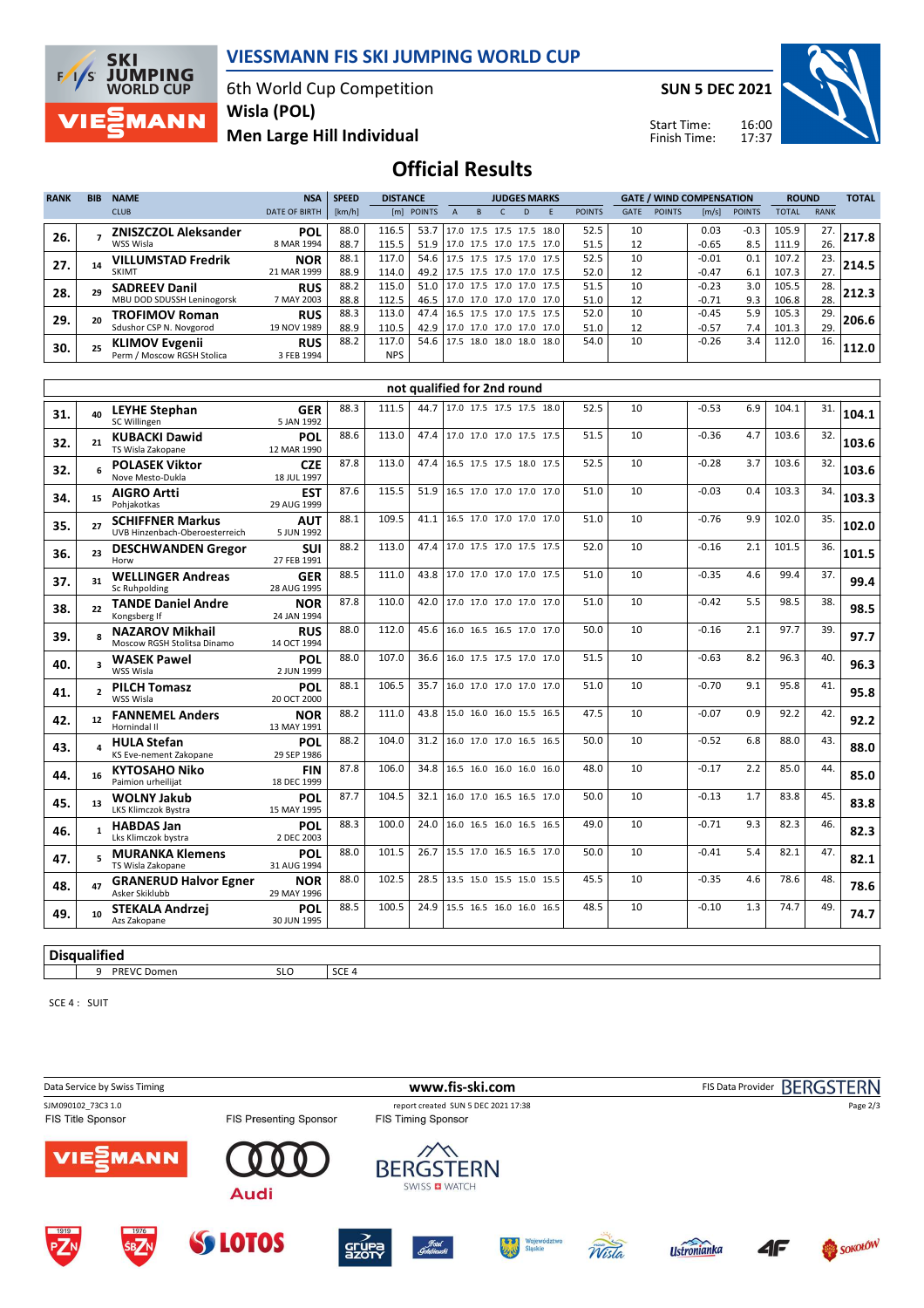

6th World Cup Competition **Wisla (POL)**

**Men Large Hill Individual**

**SUN 5 DEC 2021**

Start Time: Finish Time:



# **Official Results**

| <b>RANK</b> | <b>BIB</b> | <b>NAME</b>                 | <b>NSA</b>           | <b>SPEED</b> | <b>DISTANCE</b> |            |                          | <b>JUDGES MARKS</b> |  |                |      |               | <b>GATE / WIND COMPENSATION</b> |               |         |               | <b>ROUND</b> |             | <b>TOTAL</b> |
|-------------|------------|-----------------------------|----------------------|--------------|-----------------|------------|--------------------------|---------------------|--|----------------|------|---------------|---------------------------------|---------------|---------|---------------|--------------|-------------|--------------|
|             |            | <b>CLUB</b>                 | <b>DATE OF BIRTH</b> | [km/h]       |                 | [m] POINTS |                          |                     |  |                |      | <b>POINTS</b> | <b>GATE</b>                     | <b>POINTS</b> | [m/s]   | <b>POINTS</b> | <b>TOTAL</b> | <b>RANK</b> |              |
| 26.         |            | <b>ZNISZCZOL Aleksander</b> | <b>POL</b>           | 88.0         | 116.5           | 53.7       | 17.0 17.5 17.5 17.5      |                     |  |                | 18.0 | 52.5          | 10                              |               | 0.03    | $-0.3$        | 105.9        | 27.         | 217.8        |
|             |            | WSS Wisla                   | 8 MAR 1994           | 88.7         | 115.5           | 51.9       | 17.0 17.5 17.0 17.5 17.0 |                     |  |                |      | 51.5          | 12                              |               | $-0.65$ | 8.5           | 111.9        | 26.         |              |
| 27.         |            | <b>VILLUMSTAD Fredrik</b>   | <b>NOR</b>           | 88.1         | 117.0           | 54.6       | 17.5 17.5 17.5 17.0 17.5 |                     |  |                |      | 52.5          | 10                              |               | $-0.01$ | 0.1           | 107.2        | 23.         | 214.5        |
|             |            | <b>SKIMT</b>                | 21 MAR 1999          | 88.9         | 114.0           | 49.2       | 17.5 17.5 17.0 17.0 17.5 |                     |  |                |      | 52.0          | 12                              |               | $-0.47$ | 6.1           | 107.3        | 27.         |              |
| 28.         |            | <b>SADREEV Danil</b>        | <b>RUS</b>           | 88.2         | 115.0           | 51.0       | 17.0 17.5 17.0 17.0 17.5 |                     |  |                |      | 51.5          | 10                              |               | $-0.23$ | 3.0           | 105.5        | 28.         | 212.3        |
|             |            | MBU DOD SDUSSH Leninogorsk  | 7 MAY 2003           | 88.8         | 112.5           | 46.5       | 17.0 17.0 17.0 17.0 17.0 |                     |  |                |      | 51.0          | 12                              |               | $-0.71$ | 9.3           | 106.8        | 28.         |              |
| 29.         |            | <b>TROFIMOV Roman</b>       | <b>RUS</b>           | 88.3         | 113.0           | 47.4       | 16.5 17.5 17.0 17.5 17.5 |                     |  |                |      | 52.0          | 10                              |               | $-0.45$ | 5.9           | 105.3        | 29.         | 206.6        |
|             |            | Sdushor CSP N. Novgorod     | 19 NOV 1989          | 88.9         | 110.5           | 42.9       | 17.0 17.0 17.0 17.0      |                     |  |                | 17.0 | 51.0          | 12                              |               | $-0.57$ | 7.4           | 101.3        | 29.         |              |
| 30.         |            | <b>KLIMOV Evgenii</b>       | <b>RUS</b>           | 88.2         | 117.0           | 54.6       | 17.5                     |                     |  | 18.0 18.0 18.0 | 18.0 | 54.0          | 10                              |               | $-0.26$ | 3.4           | 112.0        | 16.         | 112.0        |
|             |            | Perm / Moscow RGSH Stolica  | 3 FEB 1994           |              | <b>NPS</b>      |            |                          |                     |  |                |      |               |                                 |               |         |               |              |             |              |

|     | not qualified for 2nd round |                                                           |                           |      |       |      |                          |      |  |    |         |     |       |     |       |
|-----|-----------------------------|-----------------------------------------------------------|---------------------------|------|-------|------|--------------------------|------|--|----|---------|-----|-------|-----|-------|
| 31. | 40                          | <b>LEYHE Stephan</b><br>SC Willingen                      | <b>GER</b><br>5 JAN 1992  | 88.3 | 111.5 | 44.7 | 17.0 17.5 17.5 17.5 18.0 | 52.5 |  | 10 | $-0.53$ | 6.9 | 104.1 | 31. | 104.1 |
| 32. | 21                          | <b>KUBACKI Dawid</b><br>TS Wisla Zakopane                 | POL<br>12 MAR 1990        | 88.6 | 113.0 | 47.4 | 17.0 17.0 17.0 17.5 17.5 | 51.5 |  | 10 | $-0.36$ | 4.7 | 103.6 | 32. | 103.6 |
| 32. | 6                           | <b>POLASEK Viktor</b><br>Nove Mesto-Dukla                 | <b>CZE</b><br>18 JUL 1997 | 87.8 | 113.0 | 47.4 | 16.5 17.5 17.5 18.0 17.5 | 52.5 |  | 10 | $-0.28$ | 3.7 | 103.6 | 32. | 103.6 |
| 34. | 15                          | <b>AIGRO Artti</b><br>Pohiakotkas                         | <b>EST</b><br>29 AUG 1999 | 87.6 | 115.5 | 51.9 | 16.5 17.0 17.0 17.0 17.0 | 51.0 |  | 10 | $-0.03$ | 0.4 | 103.3 | 34. | 103.3 |
| 35. | 27                          | <b>SCHIFFNER Markus</b><br>UVB Hinzenbach-Oberoesterreich | <b>AUT</b><br>5 JUN 1992  | 88.1 | 109.5 | 41.1 | 16.5 17.0 17.0 17.0 17.0 | 51.0 |  | 10 | $-0.76$ | 9.9 | 102.0 | 35. | 102.0 |
| 36. | 23                          | <b>DESCHWANDEN Gregor</b><br>Horw                         | <b>SUI</b><br>27 FEB 1991 | 88.2 | 113.0 | 47.4 | 17.0 17.5 17.0 17.5 17.5 | 52.0 |  | 10 | $-0.16$ | 2.1 | 101.5 | 36. | 101.5 |
| 37. | 31                          | <b>WELLINGER Andreas</b><br>Sc Ruhpolding                 | <b>GER</b><br>28 AUG 1995 | 88.5 | 111.0 | 43.8 | 17.0 17.0 17.0 17.0 17.5 | 51.0 |  | 10 | $-0.35$ | 4.6 | 99.4  | 37. | 99.4  |
| 38. | 22                          | <b>TANDE Daniel Andre</b><br>Kongsberg If                 | <b>NOR</b><br>24 JAN 1994 | 87.8 | 110.0 | 42.0 | 17.0 17.0 17.0 17.0 17.0 | 51.0 |  | 10 | $-0.42$ | 5.5 | 98.5  | 38. | 98.5  |
| 39. | R.                          | <b>NAZAROV Mikhail</b><br>Moscow RGSH Stolitsa Dinamo     | <b>RUS</b><br>14 OCT 1994 | 88.0 | 112.0 | 45.6 | 16.0 16.5 16.5 17.0 17.0 | 50.0 |  | 10 | $-0.16$ | 2.1 | 97.7  | 39. | 97.7  |
| 40. | 3                           | <b>WASEK Pawel</b><br>WSS Wisla                           | POL<br>2 JUN 1999         | 88.0 | 107.0 | 36.6 | 16.0 17.5 17.5 17.0 17.0 | 51.5 |  | 10 | $-0.63$ | 8.2 | 96.3  | 40. | 96.3  |
| 41. | $\overline{2}$              | <b>PILCH Tomasz</b><br>WSS Wisla                          | <b>POL</b><br>20 OCT 2000 | 88.1 | 106.5 | 35.7 | 16.0 17.0 17.0 17.0 17.0 | 51.0 |  | 10 | $-0.70$ | 9.1 | 95.8  | 41. | 95.8  |
| 42. | 12                          | <b>FANNEMEL Anders</b><br>Hornindal II                    | <b>NOR</b><br>13 MAY 1991 | 88.2 | 111.0 | 43.8 | 15.0 16.0 16.0 15.5 16.5 | 47.5 |  | 10 | $-0.07$ | 0.9 | 92.2  | 42. | 92.2  |
| 43. | 4                           | <b>HULA Stefan</b><br>KS Eve-nement Zakopane              | <b>POL</b><br>29 SEP 1986 | 88.2 | 104.0 | 31.2 | 16.0 17.0 17.0 16.5 16.5 | 50.0 |  | 10 | $-0.52$ | 6.8 | 88.0  | 43. | 88.0  |
| 44. | 16                          | <b>KYTOSAHO Niko</b><br>Paimion urheilijat                | <b>FIN</b><br>18 DEC 1999 | 87.8 | 106.0 | 34.8 | 16.5 16.0 16.0 16.0 16.0 | 48.0 |  | 10 | $-0.17$ | 2.2 | 85.0  | 44. | 85.0  |
| 45. | 13                          | <b>WOLNY Jakub</b><br>LKS Klimczok Bystra                 | <b>POL</b><br>15 MAY 1995 | 87.7 | 104.5 | 32.1 | 16.0 17.0 16.5 16.5 17.0 | 50.0 |  | 10 | $-0.13$ | 1.7 | 83.8  | 45. | 83.8  |
| 46. | 1                           | <b>HABDAS Jan</b><br>Lks Klimczok bystra                  | POL<br>2 DEC 2003         | 88.3 | 100.0 | 24.0 | 16.0 16.5 16.0 16.5 16.5 | 49.0 |  | 10 | $-0.71$ | 9.3 | 82.3  | 46. | 82.3  |
| 47. | 5                           | <b>MURANKA Klemens</b><br>TS Wisla Zakopane               | <b>POL</b><br>31 AUG 1994 | 88.0 | 101.5 | 26.7 | 15.5 17.0 16.5 16.5 17.0 | 50.0 |  | 10 | $-0.41$ | 5.4 | 82.1  | 47. | 82.1  |
| 48. | 47                          | <b>GRANERUD Halvor Egner</b><br>Asker Skiklubb            | <b>NOR</b><br>29 MAY 1996 | 88.0 | 102.5 | 28.5 | 13.5 15.0 15.5 15.0 15.5 | 45.5 |  | 10 | $-0.35$ | 4.6 | 78.6  | 48. | 78.6  |
| 49. | 10                          | <b>STEKALA Andrzej</b><br>Azs Zakopane                    | POL<br>30 JUN 1995        | 88.5 | 100.5 | 24.9 | 15.5 16.5 16.0 16.0 16.5 | 48.5 |  | 10 | $-0.10$ | 1.3 | 74.7  | 49. | 74.7  |
|     |                             |                                                           |                           |      |       |      |                          |      |  |    |         |     |       |     |       |

#### **Disqualified**

9 PREVC Domen SLO SCE 4

SCE 4 : SUIT

 $F/1/S$ 

**MANN** 

Data Service by Swiss Timing **WWW.fis-ski.com www.fis-ski.com** FIS Data Provider BERGSTERN SJM090102\_73C3 1.0 report created SUN 5 DEC 2021 17:38<br>
FIS Title Sponsor FIS Tessenting Sponsor FIS Timing Sponsor Page 2/3FIS Title Sponsor FIS Presenting Sponsor /IE) MANN **BERGSTERN** SWISS **D** WATCH **Audi** 4F